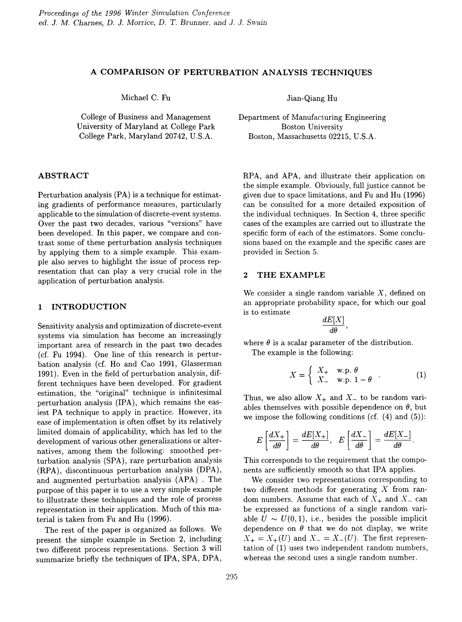## A COMPARISON OF PERTURBATION ANALYSIS TECHNIQUES

College of Business and Management University of Maryland at College Park College Park, Maryland 20742, U.S.A.

### ABSTRACT

Perturbation analysis (PA) is a technique for estimating gradients of performance measures, particularly applicable to the simulation of discrete-event systems. Over the past two decades, various "versions" have been developed. In this paper, we compare and contrast some of these perturbation analysis techniques by applying them to a simple example. This example also serves to highlight the issue of process representation that can play a very crucial role in the application of perturbation analysis.

### 1 INTRODUCTION

Sensitivity analysis and optimization of discrete-event systems via simulation has become an increasingly important area of research in the past two decades (cf. Fu 1994). One line of this research is perturbation analysis (cf. Ho and Cao 1991, Glasserman 1991). Even in the field of perturbation analysis, different techniques have been developed. For gradient estimation, the "original" technique is infinitesimal perturbation analysis (IPA), which remains the easiest PA technique to apply in practice. However, its ease of implementation is often offset by its relatively limited domain of applicability, which has led to the development of various other generalizations or alternatives, among them the following: smoothed perturbation analysis (SPA), rare perturbation analysis (RPA) , discontinuous perturbation analysis (DPA), and augmented perturbation analysis (APA) . The purpose of this paper is to use a very simple example to illustrate these techniques and the role of process representation in their application. Much of this material is taken from Fu and Hu (1996).

The rest of the paper is organized as follows. We present the simple example in Section 2, including two different process representations. Section 3 will summarize briefly the techniques of IPA, SPA, DPA,

Michael C. Fu Jian-Qiang Hu

Department of Manufacturing Engineering Boston University Boston, Massachusetts 02215, U.S.A.

RPA, and APA, and illustrate their application on the simple example. Obviously, full justice cannot be given due to space limitations, and Fu and Hu (1996) can be consulted for a more detailed exposition of the individual techniques. In Section 4, three specific cases of the examples are carried out to illustrate the specific form of each of the estimators. Some conclusions based on the example and the specific cases are provided in Section 5.

## 2 THE EXAMPLE

We consider a single random variable  $X$ , defined on an appropriate probability space, for which our goal is to estimate

$$
\frac{dE[X]}{d\theta},
$$

where  $\theta$  is a scalar parameter of the distribution.

The example is the following:

$$
X = \begin{cases} X_+ & \text{w.p. } \theta \\ X_- & \text{w.p. } 1 - \theta \end{cases} \tag{1}
$$

Thus, we also allow  $X_+$  and  $X_-$  to be random variables themselves with possible dependence on  $\theta$ , but we impose the following conditions (cf.  $(4)$  and  $(5)$ ):

$$
E\left[\frac{dX_+}{d\theta}\right] = \frac{dE[X_+]}{d\theta}, \quad E\left[\frac{dX_-}{d\theta}\right] = \frac{dE[X_-]}{d\theta}.
$$

This corresponds to the requirement that the components are sufficiently smooth so that IPA applies.

We consider two representations corresponding to two different methods for generating  $X$  from random numbers. Assume that each of  $X_+$  and  $X_-$  can be expressed as functions of a single random variable  $U \sim U(0,1)$ , i.e., besides the possible implicit dependence on  $\theta$  that we do not display, we write  $X_+ = X_+(U)$  and  $X_- = X_-(U)$ . The first representation of (1) uses two independent random numbers, whereas the second uses a single random number.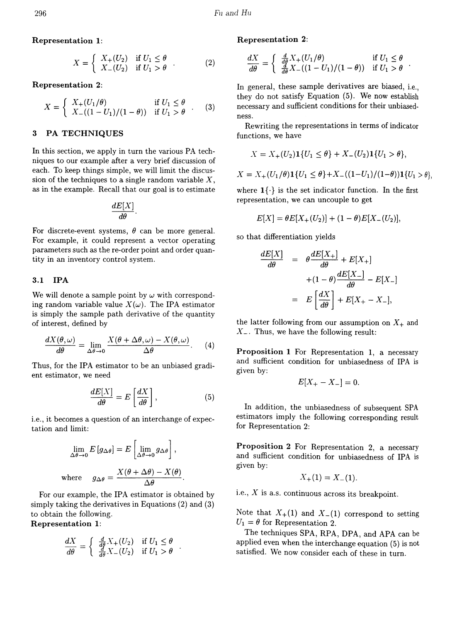$$
X = \begin{cases} X_+(U_2) & \text{if } U_1 \le \theta \\ X_-(U_2) & \text{if } U_1 > \theta \end{cases} . \tag{2}
$$

Representation 2:

$$
X = \begin{cases} X_+(U_1/\theta) & \text{if } U_1 \le \theta \\ X_-(\frac{1-U_1}{1-\theta}) & \text{if } U_1 > \theta \end{cases} . \tag{3}
$$

### 3 PA TECHNIQUES

In this section, we apply in turn the various PA techniques to our example after a very brief discussion of each. To keep things simple, we will limit the discussion of the techniques to a single random variable *X,* as in the example. Recall that our goal is to estimate

$$
\frac{dE[X]}{d\theta}.
$$

For discrete-event systems,  $\theta$  can be more general. For example, it could represent a vector operating parameters such as the re-order point and order quantity in an inventory control system.

### 3.1 IPA

We will denote a sample point by  $\omega$  with corresponding random variable value  $X(\omega)$ . The IPA estimator is simply the sample path derivative of the quantity of interest, defined by

$$
\frac{dX(\theta,\omega)}{d\theta} = \lim_{\Delta\theta \to 0} \frac{X(\theta + \Delta\theta,\omega) - X(\theta,\omega)}{\Delta\theta}.
$$
 (4)

Thus, for the IPA estimator to be an unbiased gradient estimator, we need

$$
\frac{dE[X]}{d\theta} = E\left[\frac{dX}{d\theta}\right],\tag{5}
$$

i.e., it becomes a question of an interchange of expectation and limit:

$$
\lim_{\Delta \theta \to 0} E[g_{\Delta \theta}] = E\left[\lim_{\Delta \theta \to 0} g_{\Delta \theta}\right],
$$
  
where 
$$
g_{\Delta \theta} = \frac{X(\theta + \Delta \theta) - X(\theta)}{\Delta \theta}.
$$

For our example, the IPA estimator is obtained by simply taking the derivatives in Equations (2) and (3) to obtain the following.

Representation 1:

$$
\frac{dX}{d\theta} = \begin{cases} \frac{d}{d\theta} X_+(U_2) & \text{if } U_1 \leq \theta \\ \frac{d}{d\theta} X_-(U_2) & \text{if } U_1 > \theta \end{cases}.
$$

# Representation 1: Representation 2:

$$
\frac{dX}{d\theta} = \begin{cases} \frac{d}{d\theta}X_+(U_1/\theta) & \text{if } U_1 \leq \theta \\ \frac{d}{d\theta}X_-( (1-U_1)/(1-\theta)) & \text{if } U_1 > \theta \end{cases}
$$

In general, these sample derivatives are biased, i.e., they do not satisfy Equation (5). We now establish necessary and sufficient conditions for their unbiasedness.

Rewriting the representations in terms of indicator functions, we have

$$
X = X_{+}(U_{2})\mathbf{1}\{U_{1} \leq \theta\} + X_{-}(U_{2})\mathbf{1}\{U_{1} > \theta\},\
$$

$$
X = X_{+}(U_{1}/\theta) \mathbf{1}\{U_{1} \leq \theta\} + X_{-}((1-U_{1})/(1-\theta))\mathbf{1}\{U_{1} > \theta\}
$$

where  $1\{\cdot\}$  is the set indicator function. In the first representation, we can uncouple to get

$$
E[X] = \theta E[X_+(U_2)] + (1 - \theta)E[X_-(U_2)],
$$

so that differentiation yields

$$
\frac{dE[X]}{d\theta} = \theta \frac{dE[X_{+}]}{d\theta} + E[X_{+}]
$$

$$
+ (1 - \theta) \frac{dE[X_{-}]}{d\theta} - E[X_{-}]
$$

$$
= E\left[\frac{dX}{d\theta}\right] + E[X_{+} - X_{-}],
$$

the latter following from our assumption on  $X_+$  and *X\_.* Thus, we have the following result:

Proposition 1 For Representation 1, a necessary and sufficient condition for unbiasedness of IPA is given by:

$$
E[X_{+}-X_{-}]=0.
$$

In addition, the unbiasedness of subsequent SPA estimators imply the following corresponding result for Representation 2:

Proposition 2 For Representation 2, a necessary and sufficient condition for unbiasedness of IPA is given by:

$$
X_{+}(1) = X_{-}(1).
$$

i.e.,  $X$  is a.s. continuous across its breakpoint.

Note that  $X_+(1)$  and  $X_-(1)$  correspond to setting  $U_1 = \theta$  for Representation 2.

The techniques SPA, RPA, DPA, and APA can be applied even when the interchange equation (5) is not satisfied. We now consider each of these in turn.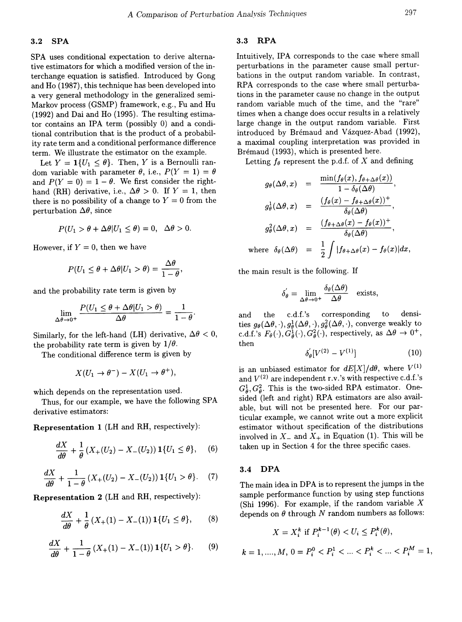### 3.2 SPA

SPA uses conditional expectation to derive alternative estimators for which a modified version of the interchange equation is satisfied. Introduced by Gong and Ho (1987), this technique has been developed into a very general methodology in the generalized semi-Markov process (GSMP) framework, e.g., Fu and Hu (1992) and Dai and Ho (1995). The resulting estimator contains an IPA term (possibly 0) and a conditional contribution that is the product of a probability rate term and a conditional performance difference term. We illustrate the estimator on the example.

Let  $Y = \mathbf{1}{U_1 \leq \theta}$ . Then, Y is a Bernoulli random variable with parameter  $\theta$ , i.e.,  $P(Y = 1) = \theta$ and  $P(Y = 0) = 1 - \theta$ . We first consider the righthand (RH) derivative, i.e.,  $\Delta\theta > 0$ . If  $Y = 1$ , then there is no possibility of a change to  $Y = 0$  from the perturbation  $\Delta\theta$ , since

$$
P(U_1 > \theta + \Delta\theta | U_1 \leq \theta) = 0, \ \ \Delta\theta > 0.
$$

However, if  $Y = 0$ , then we have

$$
P(U_1 \leq \theta + \Delta\theta | U_1 > \theta) = \frac{\Delta\theta}{1-\theta}.
$$

and the probability rate term is given by

$$
\lim_{\Delta\theta\to 0^+}\frac{P(U_1\leq\theta+\Delta\theta|U_1>\theta)}{\Delta\theta}=\frac{1}{1-\theta}.
$$

Similarly, for the left-hand (LH) derivative,  $\Delta \theta < 0$ , the probability rate term is given by  $1/\theta$ .

The conditional difference term is given by

$$
X(U_1 \to \theta^-) - X(U_1 \to \theta^+),
$$

which depends on the representation used.

Thus, for our example, we have the following SPA derivative estimators:

Representation 1 (LH and RH, respectively):

$$
\frac{dX}{d\theta} + \frac{1}{\theta} \left( X_+(U_2) - X_-(U_2) \right) \mathbf{1} \{ U_1 \le \theta \}, \quad (6)
$$

$$
\frac{dX}{d\theta} + \frac{1}{1-\theta} \left( X_+(U_2) - X_-(U_2) \right) \mathbf{1} \{ U_1 > \theta \}. \tag{7}
$$

Representation 2 (LH and RH, respectively):

$$
\frac{dX}{d\theta} + \frac{1}{\theta} \left( X_+(1) - X_-(1) \right) \mathbf{1} \{ U_1 \le \theta \}, \tag{8}
$$

$$
\frac{dX}{d\theta} + \frac{1}{1-\theta} \left( X_+(1) - X_-(1) \right) \mathbf{1} \{ U_1 > \theta \}. \tag{9}
$$

### 3.3 RPA

Intuitively, IPA corresponds to the case where small perturbations in the parameter cause small perturbations in the output random variable. In contrast, RPA corresponds to the case where small perturbations in the parameter cause no change in the output random variable much of the time, and the "rare" times when a change does occur results in a relatively large change in the output random variable. First introduced by Brémaud and Vázquez-Abad (1992), a maximal coupling interpretation was provided in Brémaud (1993), which is presented here.

Letting  $f_{\theta}$  represent the p.d.f. of X and defining

$$
g_{\theta}(\Delta\theta, x) = \frac{\min(f_{\theta}(x), f_{\theta + \Delta\theta}(x))}{1 - \delta_{\theta}(\Delta\theta)},
$$
  

$$
g_{\theta}^{1}(\Delta\theta, x) = \frac{(f_{\theta}(x) - f_{\theta + \Delta\theta}(x))^{+}}{\delta_{\theta}(\Delta\theta)},
$$
  

$$
g_{\theta}^{2}(\Delta\theta, x) = \frac{(f_{\theta + \Delta\theta}(x) - f_{\theta}(x))^{+}}{\delta_{\theta}(\Delta\theta)},
$$
  
where  $\delta_{\theta}(\Delta\theta) = \frac{1}{2} \int |f_{\theta + \Delta\theta}(x) - f_{\theta}(x)| dx,$ 

the main result is the following. If

$$
\delta_{\theta}^{'} = \lim_{\Delta \theta \to 0^{+}} \frac{\delta_{\theta}(\Delta \theta)}{\Delta \theta} \quad \text{exists,}
$$

and the c.d.f.'s corresponding to densities  $g_{\theta}(\Delta\theta, \cdot), g_{\theta}^1(\Delta\theta, \cdot), g_{\theta}^2(\Delta\theta, \cdot)$ , converge weakly to c.d.f.'s  $F_{\theta}(\cdot), G_{\theta}^1(\cdot), G_{\theta}^2(\cdot),$  respectively, as  $\Delta\theta \to 0^+,$ then

$$
\delta_{\theta}'[V^{(2)} - V^{(1)}] \tag{10}
$$

is an unbiased estimator for  $dE[X]/d\theta$ , where  $V^{(1)}$ and  $V^{(2)}$  are independent r.v.'s with respective c.d.f.'s  $G_a^1, G_a^2$ . This is the two-sided RPA estimator. Onesided (left and right) RPA estimators are also available, but will not be presented here. For our particular example, we cannot write out a more explicit estimator without specification of the distributions involved in  $X_{-}$  and  $X_{+}$  in Equation (1). This will be taken up in Section 4 for the three specific cases.

### 3.4 DPA

The main idea in DPA is to represent the jumps in the sample performance function by using step functions (Shi 1996). For example, if the random variable  $X$ depends on  $\theta$  through N random numbers as follows:

$$
X = X_i^k \text{ if } P_i^{k-1}(\theta) < U_i \le P_i^k(\theta),
$$
\n
$$
k = 1, \dots, M, \ 0 = P_i^0 < P_i^1 < \dots < P_i^k < \dots < P_i^M = 1,
$$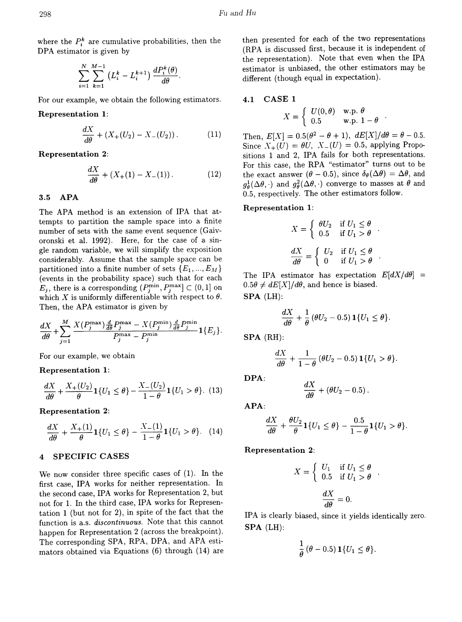where the  $P_i^k$  are cumulative probabilities, then the DPA estimator is given by

$$
\sum_{i=1}^N\sum_{k=1}^{M-1}\left(L_i^k-L_i^{k+1}\right)\frac{dP_i^k(\theta)}{d\theta}.
$$

For our example, we obtain the following estimators.

Representation 1:

$$
\frac{dX}{d\theta} + (X_+(U_2) - X_-(U_2))\,. \tag{11}
$$

Representation 2:

$$
\frac{dX}{d\theta} + (X_+(1) - X_-(1))\,. \tag{12}
$$

### 3.5 APA

The APA method is an extension of IPA that attempts to partition the sample space into a finite number of sets with the same event sequence (Gaivoronski et al. 1992). Here, for the case of a single random variable, we will simplify the exposition considerably. Assume that the sample space can be partitioned into a finite number of sets  $\{E_1, ..., E_M\}$ (events in the probability space) such that for each  $E_i$ , there is a corresponding  $(P_i^{\min}, P_i^{\max}] \subset (0,1]$  on which X is uniformly differentiable with respect to  $\theta$ . Then, the APA estimator is given by

$$
\frac{dX}{d\theta} + \sum_{j=1}^{M} \frac{X(P_j^{\max})\frac{d}{d\theta}P_j^{\max} - X(P_j^{\min})\frac{d}{d\theta}P_j^{\min}}{P_j^{\max} - P_j^{\min}}\mathbf{1}\{E_j\}.
$$

For our example, we obtain

Representation 1:

$$
\frac{dX}{d\theta} + \frac{X_+(U_2)}{\theta} \mathbf{1} \{ U_1 \le \theta \} - \frac{X_-(U_2)}{1-\theta} \mathbf{1} \{ U_1 > \theta \}. \tag{13}
$$

Representation 2: APA:

$$
\frac{dX}{d\theta} + \frac{X_+(1)}{\theta} \mathbf{1} \{ U_1 \le \theta \} - \frac{X_-(1)}{1-\theta} \mathbf{1} \{ U_1 > \theta \}. \tag{14}
$$

### 4 SPECIFIC CASES

We now consider three specific cases of (1). In the first case, IPA works for neither representation. In the second case, IPA works for Representation 2, but not for 1. In the third case, IPA works for Representation 1 (but not for 2), in spite of the fact that the function is a.s. *discontinuous.* Note that this cannot happen for Representation 2 (across the breakpoint). The corresponding SPA, RPA, DPA, and APA estimators obtained via Equations (6) through (14) are then presented for each of the two representations (RPA is discussed first, because it is independent of the representation). Note that even when the IPA estimator is unbiased, the other estimators may be different (though equal in expectation).

#### 4.1 CASE 1

$$
X = \left\{ \begin{array}{ll} U(0,\theta) & \text{w.p. } \theta \\ 0.5 & \text{w.p. } 1 - \theta \end{array} \right..
$$

Then,  $E[X] = 0.5(\theta^2 - \theta + 1)$ ,  $dE[X]/d\theta = \theta - 0.5$ . Since  $X_+(U) = \theta U$ ,  $X_-(U) = 0.5$ , applying Propositions 1 and 2, IPA fails for both representations. For this case, the RPA "estimator" turns out to be the exact answer  $(\theta - 0.5)$ , since  $\delta_{\theta}(\Delta \theta) = \Delta \theta$ , and  $g_{\theta}^{1}(\Delta\theta,\cdot)$  and  $g_{\theta}^{2}(\Delta\theta,\cdot)$  converge to masses at  $\theta$  and 0.5, respectively. The other estimators follow.

### Representation 1:

$$
X = \begin{cases} \theta U_2 & \text{if } U_1 \le \theta \\ 0.5 & \text{if } U_1 > \theta \end{cases}.
$$

$$
\frac{dX}{d\theta} = \begin{cases} U_2 & \text{if } U_1 \le \theta \\ 0 & \text{if } U_1 > \theta \end{cases}.
$$

The IPA estimator has expectation  $E[dX/d\theta]$  =  $0.5\theta \neq dE[X]/d\theta$ , and hence is biased. SPA (LH):

$$
\frac{dX}{d\theta} + \frac{1}{\theta} (\theta U_2 - 0.5) \mathbf{1}\{U_1 \leq \theta\}.
$$

SPA (RH):

$$
\frac{dX}{d\theta} + \frac{1}{1-\theta} (\theta U_2 - 0.5) \mathbf{1} \{U_1 > \theta\}.
$$

DPA:

$$
\frac{dX}{d\theta} + (\theta U_2 - 0.5)\,.
$$

$$
\frac{dX}{d\theta} + \frac{\theta U_2}{\theta} \mathbf{1}\{U_1 \le \theta\} - \frac{0.5}{1-\theta} \mathbf{1}\{U_1 > \theta\}.
$$

Representation 2:

$$
X = \begin{cases} U_1 & \text{if } U_1 \le \theta \\ 0.5 & \text{if } U_1 > \theta \end{cases}
$$

$$
\frac{dX}{d\theta} = 0.
$$

IPA is clearly biased, since it yields identically zero. SPA (LH):

$$
\frac{1}{\theta} \left( \theta - 0.5 \right) \mathbf{1} \{ U_1 \le \theta \}.
$$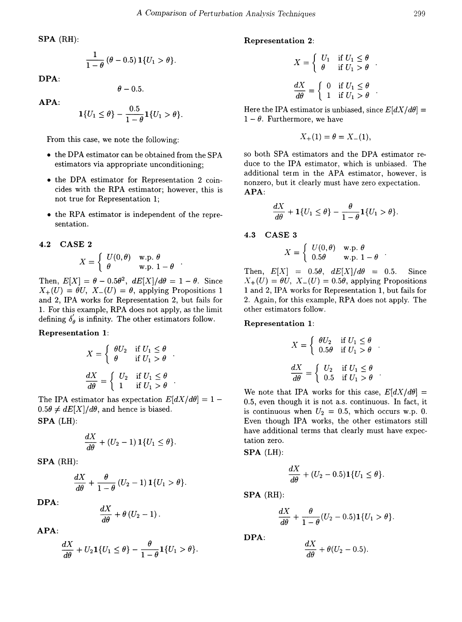$$
\frac{1}{1-\theta} (\theta - 0.5) \mathbf{1} \{ U_1 > \theta \}.
$$
\n
$$
X = \begin{cases} U_1 & \text{if } U_1 \le \theta \\ \theta & \text{if } U_1 > \theta \end{cases}
$$

DPA:

$$
-0.5.
$$

APA:

$$
\mathbf{1}\{U_1 \leq \theta\} - \frac{0.5}{1-\theta}\mathbf{1}\{U_1 > \theta\}
$$

From this case, we note the following:

- the DPA estimator can be obtained from the SPA estimators via appropriate unconditioning;
- the DPA estimator for Representation 2 coincides with the RPA estimator; however, this is not true for Representation 1;
- the RPA estimator is independent of the representation.

# 4.2 CASE 2

$$
X = \left\{ \begin{array}{ll} U(0,\theta) & \textrm{w.p.} \ \theta \\ \theta & \textrm{w.p.} \ 1-\theta \end{array} \right. .
$$

Then,  $E[X] = \theta - 0.5\theta^2$ ,  $dE[X]/d\theta = 1 - \theta$ . Since  $X_+(U) = \theta U$ ,  $X_-(U) = \theta$ , applying Propositions 1 and 2, IPA works for Representation 2, but fails for 1. For this example, RPA does not apply, as the limit defining  $\delta_{\theta}^{'}$  is infinity. The other estimators follow.

# Representation 1:

$$
X = \begin{cases} \theta U_2 & \text{if } U_1 \le \theta \\ \theta & \text{if } U_1 > \theta \end{cases}.
$$

$$
\frac{dX}{d\theta} = \begin{cases} U_2 & \text{if } U_1 \le \theta \\ 1 & \text{if } U_1 > \theta \end{cases}.
$$

The IPA estimator has expectation  $E[dX/d\theta] = 1 0.5\theta \neq dE[X]/d\theta$ , and hence is biased.

SPA (LH):

$$
\frac{dX}{d\theta} + (U_2 - 1) \mathbf{1} \{U_1 \leq \theta\}.
$$

SPA (RH):

$$
\frac{dX}{d\theta}+\frac{\theta}{1-\theta}\left(U_2-1\right)\mathbf{1}\{U_1>\theta\}.
$$

DPA:

$$
\frac{dX}{d\theta}+\theta\left( U_{2}-1\right) .
$$

APA:

$$
\frac{dX}{d\theta}+U_2\mathbf{1}{U_1 \leq \theta}-\frac{\theta}{1-\theta}\mathbf{1}{U_1 > \theta}.
$$

# SPA (RH): Representation 2:

$$
X = \begin{cases} U_1 & \text{if } U_1 \le \theta \\ \theta & \text{if } U_1 > \theta \end{cases}.
$$
  

$$
\theta - 0.5.
$$
  

$$
\frac{dX}{d\theta} = \begin{cases} 0 & \text{if } U_1 \le \theta \\ 1 & \text{if } U_1 > \theta \end{cases}.
$$

Here the IPA estimator is unbiased, since  $E[dX/d\theta] =$  $1 - \theta$ . Furthermore, we have

$$
X_+(1) = \theta = X_-(1),
$$

so both SPA estimators and the DPA estimator reduce to the IPA estimator, which is unbiased. The additional term in the APA estimator, however, is nonzero, but it clearly must have zero expectation. APA:

$$
\frac{dX}{d\theta} + \mathbf{1}\{U_1 \leq \theta\} - \frac{\theta}{1-\theta}\mathbf{1}\{U_1 > \theta\}.
$$

### 4.3 CASE 3

$$
X = \left\{ \begin{array}{ll} U(0,\theta) & \text{w.p. } \theta \\ 0.5\theta & \text{w.p. } 1 - \theta \end{array} \right..
$$

Then,  $E[X] = 0.5\theta$ ,  $dE[X]/d\theta = 0.5$ . Since  $X_+(U) = \theta U$ ,  $X_-(U) = 0.5\theta$ , applying Propositions 1 and 2, IPA works for Representation 1, but fails for 2. Again, for this example, RPA does not apply. The other estimators follow.

## Representation 1:

$$
X = \begin{cases} \theta U_2 & \text{if } U_1 \le \theta \\ 0.5\theta & \text{if } U_1 > \theta \end{cases}
$$

$$
\frac{dX}{d\theta} = \begin{cases} U_2 & \text{if } U_1 \le \theta \\ 0.5 & \text{if } U_1 > \theta \end{cases}
$$

We note that IPA works for this case,  $E[dX/d\theta] =$ 0.5, even though it is not a.s. continuous. In fact, it is continuous when  $U_2 = 0.5$ , which occurs w.p. 0. Even though IPA works, the other estimators still have additional terms that clearly must have expectation zero.

$$
\mathbf{SPA} \ (\mathbf{LH})
$$
:

$$
\frac{dX}{d\theta} + (U_2 - 0.5) \mathbf{1} \{ U_1 \le \theta \}.
$$

SPA (RH):

(i):  
\n
$$
\frac{dX}{d\theta} + \frac{\theta}{1-\theta}(U_2 - 0.5)1\{U_1 > \theta\}.
$$

DPA:

$$
\frac{dX}{d\theta} + \theta(U_2 - 0.5).
$$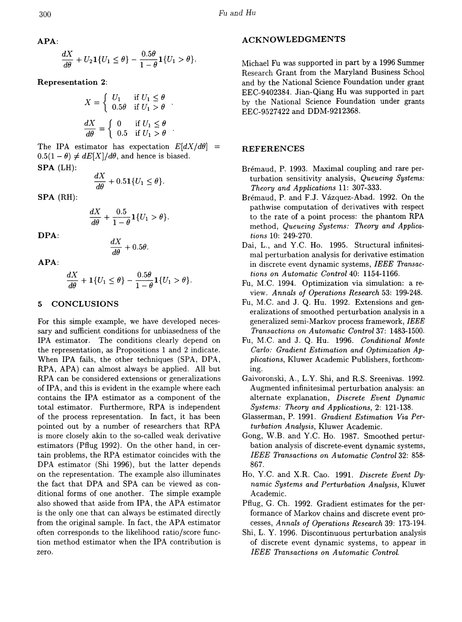$$
\frac{dX}{d\theta} + U_2 \mathbf{1}\{U_1 \leq \theta\} - \frac{0.5\theta}{1-\theta} \mathbf{1}\{U_1 > \theta\}.
$$

Representation 2:

$$
X = \begin{cases} U_1 & \text{if } U_1 \le \theta \\ 0.5\theta & \text{if } U_1 > \theta \end{cases}.
$$

$$
\frac{dX}{d\theta} = \begin{cases} 0 & \text{if } U_1 \le \theta \\ 0.5 & \text{if } U_1 > \theta \end{cases}.
$$

The IPA estimator has expectation  $E[dX/d\theta]$  =  $0.5(1 - \theta) \neq dE[X]/d\theta$ , and hence is biased. SPA (LH):

$$
\frac{dX}{d\theta} + 0.51\{U_1 \le \theta\}.
$$

SPA (RH):

$$
\frac{dX}{d\theta} + \frac{0.5}{1-\theta}1\{U_1 > \theta\}.
$$

DPA:

$$
\frac{dX}{d\theta} + 0.5\theta.
$$

APA:

$$
\frac{dX}{d\theta} + \mathbf{1}\{U_1 \leq \theta\} - \frac{0.5\theta}{1-\theta}\mathbf{1}\{U_1 > \theta\}.
$$

# 5 CONCLUSIONS

For this simple example, we have developed necessary and sufficient conditions for unbiasedness of the IPA estimator. The conditions clearly depend on the representation, as Propositions 1 and 2 indicate. When IPA fails, the other techniques (SPA, DPA, RPA, APA) can almost always be applied. All but RPA can be considered extensions or generalizations of IPA, and this is evident in the example where each contains the IPA estimator as a component of the total estimator. Furthermore, RPA is independent of the process representation. In fact, it has been pointed out by a number of researchers that RPA is more closely akin to the so-called weak derivative estimators (Pflug 1992). On the other hand, in certain problems, the RPA estimator coincides with the DPA estimator (Shi 1996), but the latter depends on the representation. The example also illuminates the fact that DPA and SPA can be viewed as conditional forms of one another. The simple example also showed that aside from IPA, the APA estimator is the only one that can always be estimated directly from the original sample. In fact, the APA estimator often corresponds to the likelihood ratio *j*score function method estimator when the IPA contribution is zero.

### ACKNOWLEDGMENTS

Michael Fu was supported in part by a 1996 Summer Research Grant from the Maryland Business School and by the National Science Foundation under grant EEC-9402384. Jian-Qiang Hu was supported in part by the National Science Foundation under grants EEC-9527422 and DDM-9212368.

# **REFERENCES**

- Brémaud, P. 1993. Maximal coupling and rare perturbation sensitivity analysis, *Queueing Systems: Theory and Applications* 11: 307-333.
- Bremaud, P. and F.J. Vazquez-Abad. 1992. On the pathwise computation of derivatives with respect to the rate of a point process: the phantom RPA method, *Queueing Systems: Theory and Applications* 10: 249-270.
- Dai, L., and Y.C. Ho. 1995. Structural infinitesimal perturbation analysis for derivative estimation in discrete event dynamic systems, *IEEE Transactions on Automatic Control* 40: 1154-1166.
- Fu, M.C. 1994. Optimization via simulation: a review. *Annals of Operations Research* 53: 199-248.
- Fu, M.C. and J. Q. Hu. 1992. Extensions and generalizations of smoothed perturbation analysis in a generalized semi-Markov process framework, *IEEE Transactions on Automatic Control* 37: 1483-1500.
- Fu' M.C. and J. Q. Hu. 1996. *Conditional Monte Carlo: Gradient Estimation and Optimization Applications,* Kluwer Academic Publishers, forthcoming.
- Gaivoronski, A., L.Y. Shi, and R.S. Sreenivas. 1992. Augmented infinitesimal perturbation analysis: an alternate explanation, *Discrete Event Dynamic Systems: Theory and Applications,* 2: 121-138.
- Glasserman, P. 1991. *Gradient Estimation Via Perturbation Analysis,* Kluwer Academic.
- Gong, W.B. and Y.C. Ho. 1987. Smoothed perturbation analysis of discrete-event dynamic systems, *IEEE Transactions on Automatic Control* 32: 858- 867.
- Ho, Y.C. and X.R. Cao. 1991. *Discrete Event Dynamic Systems and Perturbation Analysis,* Kluwer Academic.
- Pflug, G. Ch. 1992. Gradient estimates for the performance of Markov chains and discrete event processes, *Annals of Operations Research* 39: 173-194.
- Shi, L. Y. 1996. Discontinuous perturbation analysis of discrete event dynamic systems, to appear in *IEEE Transactions on Automatic Control.*